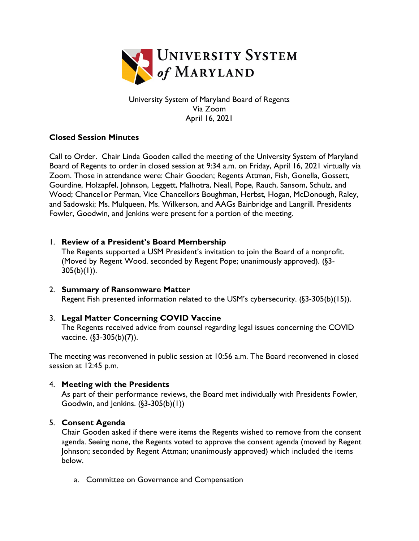

University System of Maryland Board of Regents Via Zoom April 16, 2021

## **Closed Session Minutes**

Call to Order. Chair Linda Gooden called the meeting of the University System of Maryland Board of Regents to order in closed session at 9:34 a.m. on Friday, April 16, 2021 virtually via Zoom. Those in attendance were: Chair Gooden; Regents Attman, Fish, Gonella, Gossett, Gourdine, Holzapfel, Johnson, Leggett, Malhotra, Neall, Pope, Rauch, Sansom, Schulz, and Wood; Chancellor Perman, Vice Chancellors Boughman, Herbst, Hogan, McDonough, Raley, and Sadowski; Ms. Mulqueen, Ms. Wilkerson, and AAGs Bainbridge and Langrill. Presidents Fowler, Goodwin, and Jenkins were present for a portion of the meeting.

## 1. **Review of a President's Board Membership**

The Regents supported a USM President's invitation to join the Board of a nonprofit. (Moved by Regent Wood. seconded by Regent Pope; unanimously approved). (§3-  $305(b)(1)$ ).

2. **Summary of Ransomware Matter** Regent Fish presented information related to the USM's cybersecurity. (§3-305(b)(15)).

## 3. **Legal Matter Concerning COVID Vaccine**

The Regents received advice from counsel regarding legal issues concerning the COVID vaccine. (§3-305(b)(7)).

The meeting was reconvened in public session at 10:56 a.m. The Board reconvened in closed session at 12:45 p.m.

## 4. **Meeting with the Presidents**

As part of their performance reviews, the Board met individually with Presidents Fowler, Goodwin, and Jenkins.  $(\S3-305(b)(1))$ 

## 5. **Consent Agenda**

Chair Gooden asked if there were items the Regents wished to remove from the consent agenda. Seeing none, the Regents voted to approve the consent agenda (moved by Regent Johnson; seconded by Regent Attman; unanimously approved) which included the items below.

a. Committee on Governance and Compensation